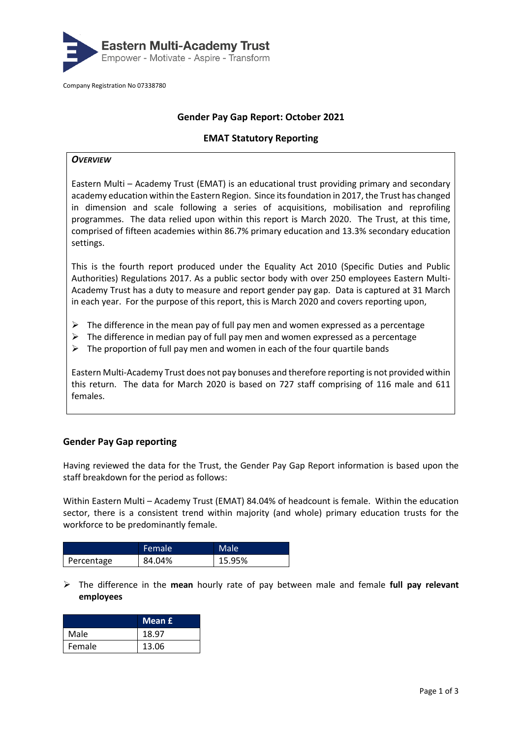

Company Registration No 07338780

# **Gender Pay Gap Report: October 2021**

### **EMAT Statutory Reporting**

#### *OVERVIEW*

Eastern Multi – Academy Trust (EMAT) is an educational trust providing primary and secondary academy education within the Eastern Region. Since its foundation in 2017, the Trust has changed in dimension and scale following a series of acquisitions, mobilisation and reprofiling programmes. The data relied upon within this report is March 2020. The Trust, at this time, comprised of fifteen academies within 86.7% primary education and 13.3% secondary education settings.

This is the fourth report produced under the Equality Act 2010 (Specific Duties and Public Authorities) Regulations 2017. As a public sector body with over 250 employees Eastern Multi-Academy Trust has a duty to measure and report gender pay gap. Data is captured at 31 March in each year. For the purpose of this report, this is March 2020 and covers reporting upon,

- $\triangleright$  The difference in the mean pay of full pay men and women expressed as a percentage
- ➢ The difference in median pay of full pay men and women expressed as a percentage
- $\triangleright$  The proportion of full pay men and women in each of the four quartile bands

Eastern Multi-Academy Trust does not pay bonuses and therefore reporting is not provided within this return. The data for March 2020 is based on 727 staff comprising of 116 male and 611 females.

## **Gender Pay Gap reporting**

Having reviewed the data for the Trust, the Gender Pay Gap Report information is based upon the staff breakdown for the period as follows:

Within Eastern Multi – Academy Trust (EMAT) 84.04% of headcount is female. Within the education sector, there is a consistent trend within majority (and whole) primary education trusts for the workforce to be predominantly female.

|            | Female | Male   |
|------------|--------|--------|
| Percentage | 84.04% | 15.95% |

➢ The difference in the **mean** hourly rate of pay between male and female **full pay relevant employees**

|        | Mean £ |
|--------|--------|
| Male   | 18.97  |
| Female | 13.06  |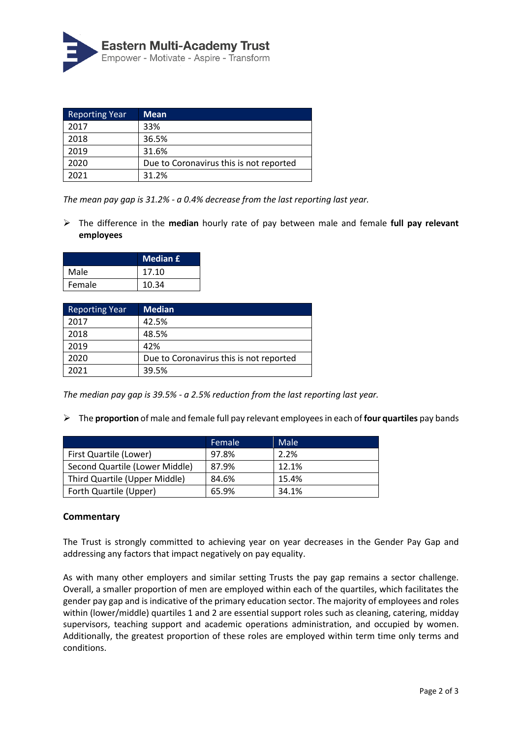

| <b>Reporting Year</b> | <b>Mean</b>                             |
|-----------------------|-----------------------------------------|
| 2017                  | 33%                                     |
| 2018                  | 36.5%                                   |
| 2019                  | 31.6%                                   |
| 2020                  | Due to Coronavirus this is not reported |
| 2021                  | 31.2%                                   |

*The mean pay gap is 31.2% - a 0.4% decrease from the last reporting last year.*

➢ The difference in the **median** hourly rate of pay between male and female **full pay relevant employees**

|        | <b>Median £</b> |
|--------|-----------------|
| Male   | 17.10           |
| Female | 10.34           |

| <b>Reporting Year</b> | <b>Median</b>                           |
|-----------------------|-----------------------------------------|
| 2017                  | 42.5%                                   |
| 2018                  | 48.5%                                   |
| 2019                  | 42%                                     |
| 2020                  | Due to Coronavirus this is not reported |
| 2021                  | 39.5%                                   |

*The median pay gap is 39.5% - a 2.5% reduction from the last reporting last year.*

➢ The **proportion** of male and female full pay relevant employees in each of **four quartiles** pay bands

|                                | Female | Male  |
|--------------------------------|--------|-------|
| First Quartile (Lower)         | 97.8%  | 2.2%  |
| Second Quartile (Lower Middle) | 87.9%  | 12.1% |
| Third Quartile (Upper Middle)  | 84.6%  | 15.4% |
| Forth Quartile (Upper)         | 65.9%  | 34.1% |

## **Commentary**

The Trust is strongly committed to achieving year on year decreases in the Gender Pay Gap and addressing any factors that impact negatively on pay equality.

As with many other employers and similar setting Trusts the pay gap remains a sector challenge. Overall, a smaller proportion of men are employed within each of the quartiles, which facilitates the gender pay gap and is indicative of the primary education sector. The majority of employees and roles within (lower/middle) quartiles 1 and 2 are essential support roles such as cleaning, catering, midday supervisors, teaching support and academic operations administration, and occupied by women. Additionally, the greatest proportion of these roles are employed within term time only terms and conditions.